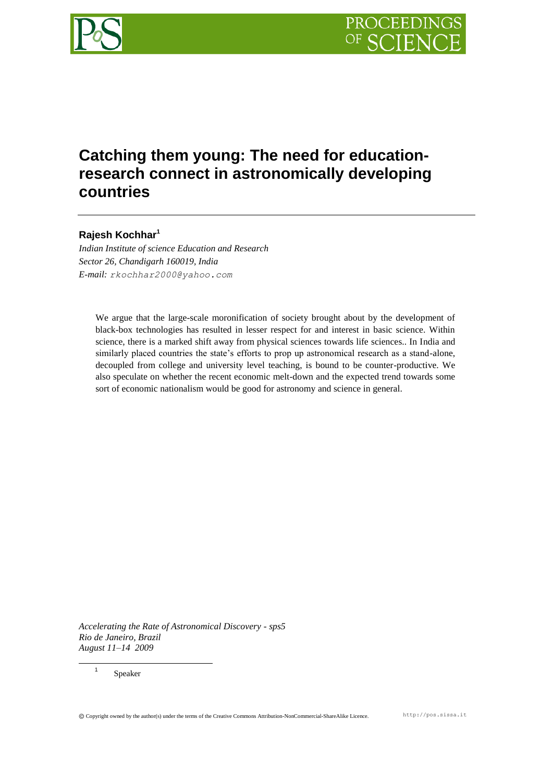

# **Catching them young: The need for educationresearch connect in astronomically developing countries**

# **Rajesh Kochhar<sup>1</sup>**

*Indian Institute of science Education and Research Sector 26, Chandigarh 160019, India E-mail: rkochhar2000@yahoo.com*

We argue that the large-scale moronification of society brought about by the development of black-box technologies has resulted in lesser respect for and interest in basic science. Within science, there is a marked shift away from physical sciences towards life sciences.. In India and similarly placed countries the state's efforts to prop up astronomical research as a stand-alone, decoupled from college and university level teaching, is bound to be counter-productive. We also speculate on whether the recent economic melt-down and the expected trend towards some sort of economic nationalism would be good for astronomy and science in general.

*Accelerating the Rate of Astronomical Discovery - sps5 Rio de Janeiro, Brazil August 11–14 2009*

Speaker

 $\overline{a}$ 1

Copyright owned by the author(s) under the terms of the Creative Commons Attribution-NonCommercial-ShareAlike Licence. http://pos.sissa.it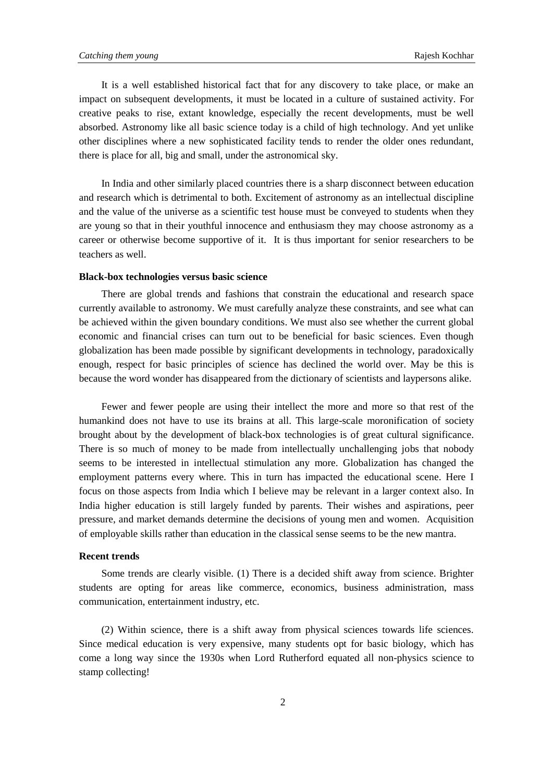It is a well established historical fact that for any discovery to take place, or make an impact on subsequent developments, it must be located in a culture of sustained activity. For creative peaks to rise, extant knowledge, especially the recent developments, must be well absorbed. Astronomy like all basic science today is a child of high technology. And yet unlike other disciplines where a new sophisticated facility tends to render the older ones redundant, there is place for all, big and small, under the astronomical sky.

In India and other similarly placed countries there is a sharp disconnect between education and research which is detrimental to both. Excitement of astronomy as an intellectual discipline and the value of the universe as a scientific test house must be conveyed to students when they are young so that in their youthful innocence and enthusiasm they may choose astronomy as a career or otherwise become supportive of it. It is thus important for senior researchers to be teachers as well.

#### **Black-box technologies versus basic science**

There are global trends and fashions that constrain the educational and research space currently available to astronomy. We must carefully analyze these constraints, and see what can be achieved within the given boundary conditions. We must also see whether the current global economic and financial crises can turn out to be beneficial for basic sciences. Even though globalization has been made possible by significant developments in technology, paradoxically enough, respect for basic principles of science has declined the world over. May be this is because the word wonder has disappeared from the dictionary of scientists and laypersons alike.

Fewer and fewer people are using their intellect the more and more so that rest of the humankind does not have to use its brains at all. This large-scale moronification of society brought about by the development of black-box technologies is of great cultural significance. There is so much of money to be made from intellectually unchallenging jobs that nobody seems to be interested in intellectual stimulation any more. Globalization has changed the employment patterns every where. This in turn has impacted the educational scene. Here I focus on those aspects from India which I believe may be relevant in a larger context also. In India higher education is still largely funded by parents. Their wishes and aspirations, peer pressure, and market demands determine the decisions of young men and women. Acquisition of employable skills rather than education in the classical sense seems to be the new mantra.

## **Recent trends**

Some trends are clearly visible. (1) There is a decided shift away from science. Brighter students are opting for areas like commerce, economics, business administration, mass communication, entertainment industry, etc.

(2) Within science, there is a shift away from physical sciences towards life sciences. Since medical education is very expensive, many students opt for basic biology, which has come a long way since the 1930s when Lord Rutherford equated all non-physics science to stamp collecting!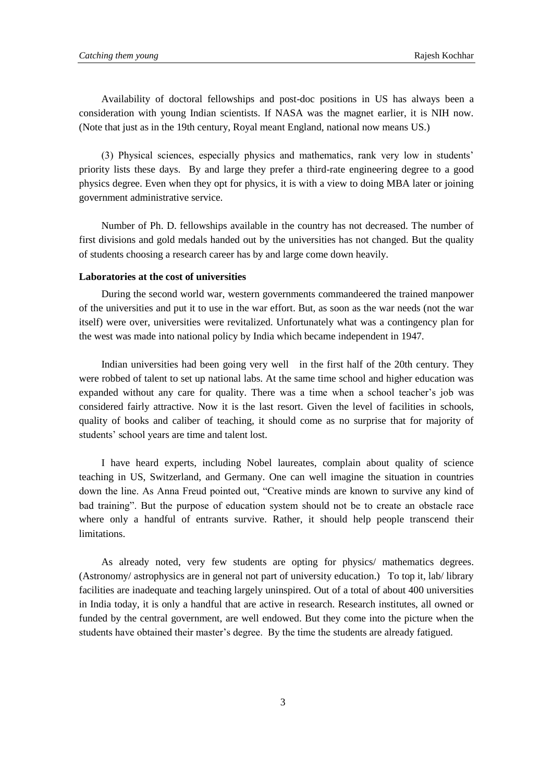Availability of doctoral fellowships and post-doc positions in US has always been a consideration with young Indian scientists. If NASA was the magnet earlier, it is NIH now. (Note that just as in the 19th century, Royal meant England, national now means US.)

(3) Physical sciences, especially physics and mathematics, rank very low in students' priority lists these days. By and large they prefer a third-rate engineering degree to a good physics degree. Even when they opt for physics, it is with a view to doing MBA later or joining government administrative service.

Number of Ph. D. fellowships available in the country has not decreased. The number of first divisions and gold medals handed out by the universities has not changed. But the quality of students choosing a research career has by and large come down heavily.

#### **Laboratories at the cost of universities**

During the second world war, western governments commandeered the trained manpower of the universities and put it to use in the war effort. But, as soon as the war needs (not the war itself) were over, universities were revitalized. Unfortunately what was a contingency plan for the west was made into national policy by India which became independent in 1947.

Indian universities had been going very well in the first half of the 20th century. They were robbed of talent to set up national labs. At the same time school and higher education was expanded without any care for quality. There was a time when a school teacher's job was considered fairly attractive. Now it is the last resort. Given the level of facilities in schools, quality of books and caliber of teaching, it should come as no surprise that for majority of students' school years are time and talent lost.

I have heard experts, including Nobel laureates, complain about quality of science teaching in US, Switzerland, and Germany. One can well imagine the situation in countries down the line. As Anna Freud pointed out, "Creative minds are known to survive any kind of bad training". But the purpose of education system should not be to create an obstacle race where only a handful of entrants survive. Rather, it should help people transcend their limitations.

As already noted, very few students are opting for physics/ mathematics degrees. (Astronomy/ astrophysics are in general not part of university education.) To top it, lab/ library facilities are inadequate and teaching largely uninspired. Out of a total of about 400 universities in India today, it is only a handful that are active in research. Research institutes, all owned or funded by the central government, are well endowed. But they come into the picture when the students have obtained their master's degree. By the time the students are already fatigued.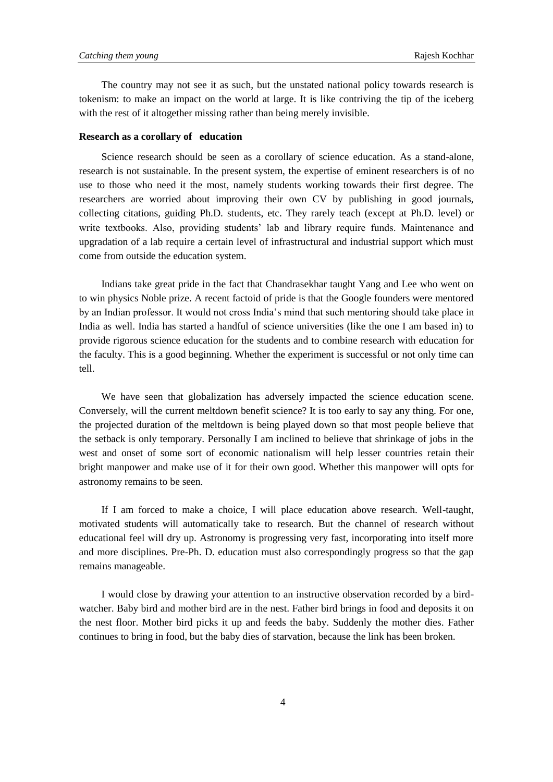The country may not see it as such, but the unstated national policy towards research is tokenism: to make an impact on the world at large. It is like contriving the tip of the iceberg with the rest of it altogether missing rather than being merely invisible.

## **Research as a corollary of education**

Science research should be seen as a corollary of science education. As a stand-alone, research is not sustainable. In the present system, the expertise of eminent researchers is of no use to those who need it the most, namely students working towards their first degree. The researchers are worried about improving their own CV by publishing in good journals, collecting citations, guiding Ph.D. students, etc. They rarely teach (except at Ph.D. level) or write textbooks. Also, providing students' lab and library require funds. Maintenance and upgradation of a lab require a certain level of infrastructural and industrial support which must come from outside the education system.

Indians take great pride in the fact that Chandrasekhar taught Yang and Lee who went on to win physics Noble prize. A recent factoid of pride is that the Google founders were mentored by an Indian professor. It would not cross India's mind that such mentoring should take place in India as well. India has started a handful of science universities (like the one I am based in) to provide rigorous science education for the students and to combine research with education for the faculty. This is a good beginning. Whether the experiment is successful or not only time can tell.

We have seen that globalization has adversely impacted the science education scene. Conversely, will the current meltdown benefit science? It is too early to say any thing. For one, the projected duration of the meltdown is being played down so that most people believe that the setback is only temporary. Personally I am inclined to believe that shrinkage of jobs in the west and onset of some sort of economic nationalism will help lesser countries retain their bright manpower and make use of it for their own good. Whether this manpower will opts for astronomy remains to be seen.

If I am forced to make a choice, I will place education above research. Well-taught, motivated students will automatically take to research. But the channel of research without educational feel will dry up. Astronomy is progressing very fast, incorporating into itself more and more disciplines. Pre-Ph. D. education must also correspondingly progress so that the gap remains manageable.

I would close by drawing your attention to an instructive observation recorded by a birdwatcher. Baby bird and mother bird are in the nest. Father bird brings in food and deposits it on the nest floor. Mother bird picks it up and feeds the baby. Suddenly the mother dies. Father continues to bring in food, but the baby dies of starvation, because the link has been broken.